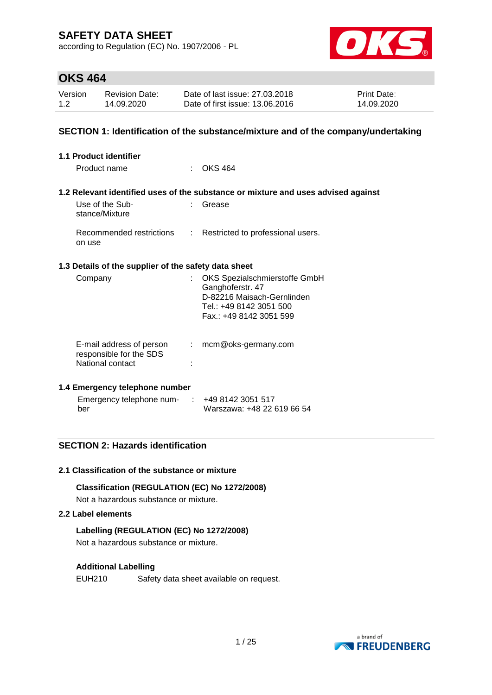according to Regulation (EC) No. 1907/2006 - PL



## **OKS 464**

| Version | <b>Revision Date:</b> | Date of last issue: 27,03,2018  | <b>Print Date:</b> |
|---------|-----------------------|---------------------------------|--------------------|
| 1.2     | 14.09.2020            | Date of first issue: 13.06.2016 | 14.09.2020         |

### **SECTION 1: Identification of the substance/mixture and of the company/undertaking**

| <b>1.1 Product identifier</b>                                           |    |                                                                                                                                       |
|-------------------------------------------------------------------------|----|---------------------------------------------------------------------------------------------------------------------------------------|
| Product name                                                            |    | $\therefore$ OKS 464                                                                                                                  |
|                                                                         |    | 1.2 Relevant identified uses of the substance or mixture and uses advised against                                                     |
| Use of the Sub-<br>stance/Mixture                                       |    | Grease                                                                                                                                |
| Recommended restrictions<br>on use                                      |    | : Restricted to professional users.                                                                                                   |
| 1.3 Details of the supplier of the safety data sheet                    |    |                                                                                                                                       |
| Company                                                                 |    | OKS Spezialschmierstoffe GmbH<br>Ganghoferstr. 47<br>D-82216 Maisach-Gernlinden<br>Tel.: +49 8142 3051 500<br>Fax.: +49 8142 3051 599 |
| E-mail address of person<br>responsible for the SDS<br>National contact | t. | mcm@oks-germany.com                                                                                                                   |

### **1.4 Emergency telephone number**

| Emergency telephone num- | $\div$ +49 8142 3051 517   |
|--------------------------|----------------------------|
| ber                      | Warszawa: +48 22 619 66 54 |

## **SECTION 2: Hazards identification**

#### **2.1 Classification of the substance or mixture**

### **Classification (REGULATION (EC) No 1272/2008)**

Not a hazardous substance or mixture.

### **2.2 Label elements**

### **Labelling (REGULATION (EC) No 1272/2008)**

Not a hazardous substance or mixture.

### **Additional Labelling**

EUH210 Safety data sheet available on request.

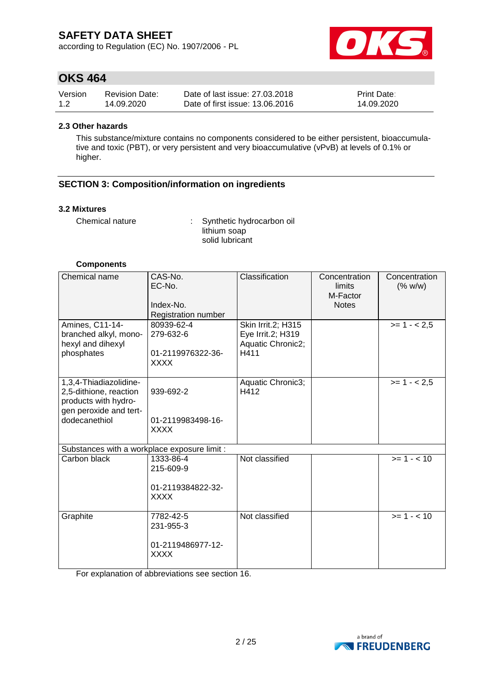according to Regulation (EC) No. 1907/2006 - PL



## **OKS 464**

| Version | <b>Revision Date:</b> | Date of last issue: 27,03,2018  | <b>Print Date:</b> |
|---------|-----------------------|---------------------------------|--------------------|
| 1.2     | 14.09.2020            | Date of first issue: 13.06.2016 | 14.09.2020         |

#### **2.3 Other hazards**

This substance/mixture contains no components considered to be either persistent, bioaccumulative and toxic (PBT), or very persistent and very bioaccumulative (vPvB) at levels of 0.1% or higher.

## **SECTION 3: Composition/information on ingredients**

#### **3.2 Mixtures**

Chemical nature : Synthetic hydrocarbon oil lithium soap solid lubricant

#### **Components**

| Chemical name                                                                                                       | CAS-No.<br>EC-No.<br>Index-No.<br>Registration number      | Classification                                                       | Concentration<br>limits<br>M-Factor<br><b>Notes</b> | Concentration<br>(% w/w) |
|---------------------------------------------------------------------------------------------------------------------|------------------------------------------------------------|----------------------------------------------------------------------|-----------------------------------------------------|--------------------------|
| Amines, C11-14-<br>branched alkyl, mono-<br>hexyl and dihexyl<br>phosphates                                         | 80939-62-4<br>279-632-6<br>01-2119976322-36-<br>XXXX       | Skin Irrit.2; H315<br>Eye Irrit.2; H319<br>Aquatic Chronic2;<br>H411 |                                                     | $>= 1 - 2.5$             |
| 1,3,4-Thiadiazolidine-<br>2,5-dithione, reaction<br>products with hydro-<br>gen peroxide and tert-<br>dodecanethiol | 939-692-2<br>01-2119983498-16-<br><b>XXXX</b>              | Aquatic Chronic3;<br>H412                                            |                                                     | $>= 1 - 2.5$             |
| Substances with a workplace exposure limit :                                                                        |                                                            |                                                                      |                                                     |                          |
| Carbon black                                                                                                        | 1333-86-4<br>215-609-9<br>01-2119384822-32-<br><b>XXXX</b> | Not classified                                                       |                                                     | $>= 1 - 10$              |
| Graphite                                                                                                            | 7782-42-5<br>231-955-3<br>01-2119486977-12-<br>XXXX        | Not classified                                                       |                                                     | $>= 1 - 10$              |

For explanation of abbreviations see section 16.

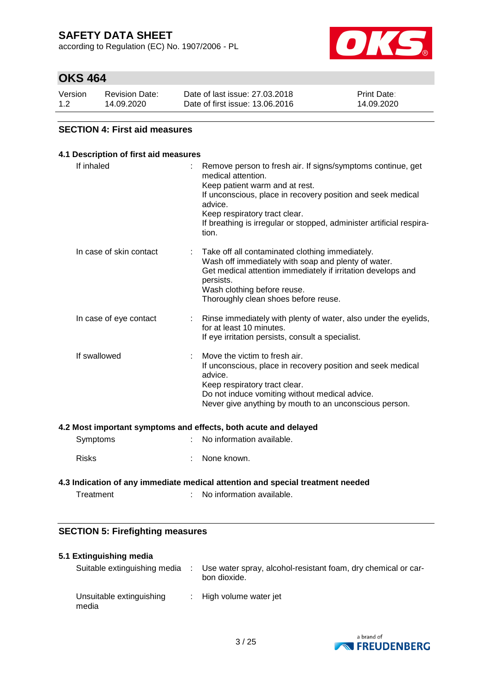according to Regulation (EC) No. 1907/2006 - PL



## **OKS 464**

| Version | <b>Revision Date:</b> | Date of last issue: 27,03,2018  | <b>Print Date:</b> |
|---------|-----------------------|---------------------------------|--------------------|
| 1.2     | 14.09.2020            | Date of first issue: 13.06.2016 | 14.09.2020         |

### **SECTION 4: First aid measures**

## **4.1 Description of first aid measures** If inhaled : Remove person to fresh air. If signs/symptoms continue, get medical attention. Keep patient warm and at rest. If unconscious, place in recovery position and seek medical advice. Keep respiratory tract clear. If breathing is irregular or stopped, administer artificial respiration. In case of skin contact : Take off all contaminated clothing immediately. Wash off immediately with soap and plenty of water. Get medical attention immediately if irritation develops and persists. Wash clothing before reuse. Thoroughly clean shoes before reuse. In case of eye contact : Rinse immediately with plenty of water, also under the eyelids, for at least 10 minutes. If eye irritation persists, consult a specialist. If swallowed : Move the victim to fresh air. If unconscious, place in recovery position and seek medical advice. Keep respiratory tract clear. Do not induce vomiting without medical advice. Never give anything by mouth to an unconscious person. **4.2 Most important symptoms and effects, both acute and delayed** Symptoms : No information available. Risks : None known.

## **4.3 Indication of any immediate medical attention and special treatment needed**

Treatment : No information available.

## **SECTION 5: Firefighting measures**

| 5.1 Extinguishing media |                                   |  |                                                                               |  |  |
|-------------------------|-----------------------------------|--|-------------------------------------------------------------------------------|--|--|
|                         | Suitable extinguishing media      |  | Use water spray, alcohol-resistant foam, dry chemical or car-<br>bon dioxide. |  |  |
|                         | Unsuitable extinguishing<br>media |  | : High volume water jet                                                       |  |  |

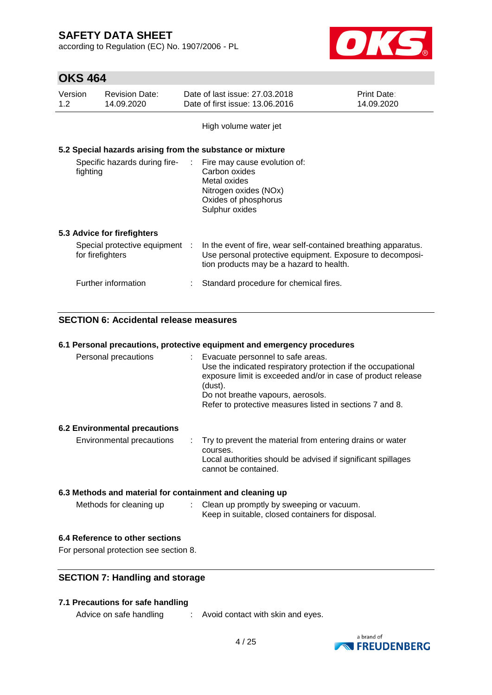according to Regulation (EC) No. 1907/2006 - PL



# **OKS 464**

| Version<br>1.2 <sub>2</sub>               | <b>Revision Date:</b><br>14.09.2020                | Date of last issue: 27,03,2018<br>Date of first issue: 13.06.2016                                                                                                       | <b>Print Date:</b><br>14.09.2020 |
|-------------------------------------------|----------------------------------------------------|-------------------------------------------------------------------------------------------------------------------------------------------------------------------------|----------------------------------|
|                                           |                                                    | High volume water jet                                                                                                                                                   |                                  |
|                                           |                                                    | 5.2 Special hazards arising from the substance or mixture                                                                                                               |                                  |
| Specific hazards during fire-<br>fighting |                                                    | $\therefore$ Fire may cause evolution of:<br>Carbon oxides<br>Metal oxides<br>Nitrogen oxides (NOx)<br>Oxides of phosphorus<br>Sulphur oxides                           |                                  |
|                                           | 5.3 Advice for firefighters                        |                                                                                                                                                                         |                                  |
|                                           | Special protective equipment :<br>for firefighters | In the event of fire, wear self-contained breathing apparatus.<br>Use personal protective equipment. Exposure to decomposi-<br>tion products may be a hazard to health. |                                  |
|                                           | Further information                                | Standard procedure for chemical fires.                                                                                                                                  |                                  |

## **SECTION 6: Accidental release measures**

|                                                          | 6.1 Personal precautions, protective equipment and emergency procedures                                                                                                                                                                                                         |
|----------------------------------------------------------|---------------------------------------------------------------------------------------------------------------------------------------------------------------------------------------------------------------------------------------------------------------------------------|
| Personal precautions                                     | : Evacuate personnel to safe areas.<br>Use the indicated respiratory protection if the occupational<br>exposure limit is exceeded and/or in case of product release<br>(dust).<br>Do not breathe vapours, aerosols.<br>Refer to protective measures listed in sections 7 and 8. |
| <b>6.2 Environmental precautions</b>                     |                                                                                                                                                                                                                                                                                 |
| Environmental precautions                                | : Try to prevent the material from entering drains or water<br>courses.<br>Local authorities should be advised if significant spillages<br>cannot be contained.                                                                                                                 |
| 6.3 Methods and material for containment and cleaning up |                                                                                                                                                                                                                                                                                 |

### **6.3 Methods and material for containment and cleaning up**

| Methods for cleaning up | Clean up promptly by sweeping or vacuum.<br>Keep in suitable, closed containers for disposal. |
|-------------------------|-----------------------------------------------------------------------------------------------|
|-------------------------|-----------------------------------------------------------------------------------------------|

### **6.4 Reference to other sections**

For personal protection see section 8.

## **SECTION 7: Handling and storage**

### **7.1 Precautions for safe handling**

Advice on safe handling : Avoid contact with skin and eyes.

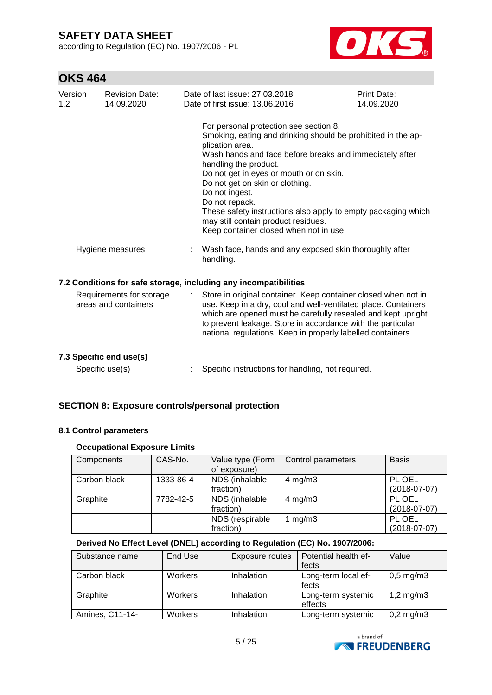according to Regulation (EC) No. 1907/2006 - PL



# **OKS 464**

| Version<br>1.2   | <b>Revision Date:</b><br>14.09.2020              | Date of last issue: 27,03,2018<br>Date of first issue: 13.06.2016                                                                                                                                                                                                                                                                                                                                                                                                                                                                           | Print Date:<br>14.09.2020 |  |
|------------------|--------------------------------------------------|---------------------------------------------------------------------------------------------------------------------------------------------------------------------------------------------------------------------------------------------------------------------------------------------------------------------------------------------------------------------------------------------------------------------------------------------------------------------------------------------------------------------------------------------|---------------------------|--|
| Hygiene measures |                                                  | For personal protection see section 8.<br>Smoking, eating and drinking should be prohibited in the ap-<br>plication area.<br>Wash hands and face before breaks and immediately after<br>handling the product.<br>Do not get in eyes or mouth or on skin.<br>Do not get on skin or clothing.<br>Do not ingest.<br>Do not repack.<br>These safety instructions also apply to empty packaging which<br>may still contain product residues.<br>Keep container closed when not in use.<br>Wash face, hands and any exposed skin thoroughly after |                           |  |
|                  |                                                  | handling.                                                                                                                                                                                                                                                                                                                                                                                                                                                                                                                                   |                           |  |
|                  |                                                  | 7.2 Conditions for safe storage, including any incompatibilities                                                                                                                                                                                                                                                                                                                                                                                                                                                                            |                           |  |
|                  | Requirements for storage<br>areas and containers | Store in original container. Keep container closed when not in<br>use. Keep in a dry, cool and well-ventilated place. Containers<br>which are opened must be carefully resealed and kept upright<br>to prevent leakage. Store in accordance with the particular<br>national regulations. Keep in properly labelled containers.                                                                                                                                                                                                              |                           |  |
|                  | 7.3 Specific end use(s)<br>Specific use(s)       | Specific instructions for handling, not required.                                                                                                                                                                                                                                                                                                                                                                                                                                                                                           |                           |  |

## **SECTION 8: Exposure controls/personal protection**

### **8.1 Control parameters**

### **Occupational Exposure Limits**

| Components   | CAS-No.   | Value type (Form<br>of exposure) | Control parameters | <b>Basis</b>             |
|--------------|-----------|----------------------------------|--------------------|--------------------------|
| Carbon black | 1333-86-4 | NDS (inhalable<br>fraction)      | $4 \text{ mg/m}$ 3 | PL OEL<br>$(2018-07-07)$ |
| Graphite     | 7782-42-5 | NDS (inhalable<br>fraction)      | $4$ mg/m $3$       | PL OEL<br>$(2018-07-07)$ |
|              |           | NDS (respirable<br>fraction)     | 1 mg/m $3$         | PL OEL<br>$(2018-07-07)$ |

### **Derived No Effect Level (DNEL) according to Regulation (EC) No. 1907/2006:**

| Substance name  | End Use        | <b>Exposure routes</b> | Potential health ef- | Value                  |
|-----------------|----------------|------------------------|----------------------|------------------------|
|                 |                |                        | fects                |                        |
| Carbon black    | <b>Workers</b> | Inhalation             | Long-term local ef-  | $0,5 \,\mathrm{mg/m3}$ |
|                 |                |                        | fects                |                        |
| Graphite        | <b>Workers</b> | Inhalation             | Long-term systemic   | 1,2 mg/m $3$           |
|                 |                |                        | effects              |                        |
| Amines, C11-14- | Workers        | <b>Inhalation</b>      | Long-term systemic   | $0,2$ mg/m $3$         |

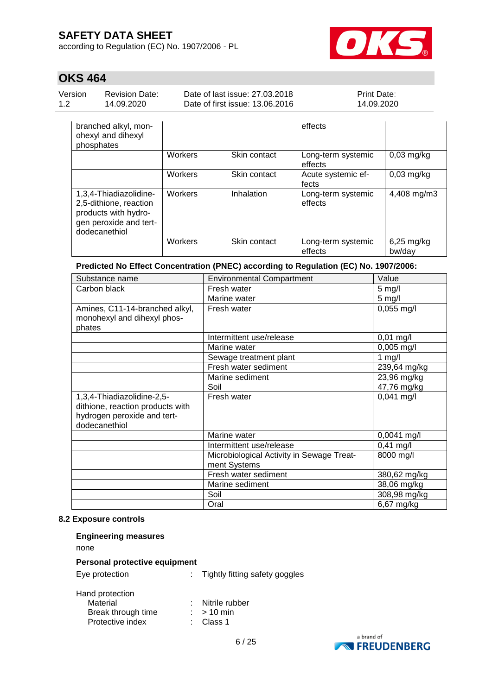according to Regulation (EC) No. 1907/2006 - PL



# **OKS 464**

| Version | <b>Revision Date:</b> | Date of last issue: 27,03,2018  | <b>Print Date:</b> |
|---------|-----------------------|---------------------------------|--------------------|
| 12      | 14.09.2020            | Date of first issue: 13.06.2016 | 14.09.2020         |
|         | bronobod olloy mon    | eff                             |                    |

| branched alkyl, mon-<br>ohexyl and dihexyl<br>phosphates                                                            |                |              | effects                       |                        |
|---------------------------------------------------------------------------------------------------------------------|----------------|--------------|-------------------------------|------------------------|
|                                                                                                                     | Workers        | Skin contact | Long-term systemic<br>effects | $0,03$ mg/kg           |
|                                                                                                                     | Workers        | Skin contact | Acute systemic ef-<br>fects   | $0,03$ mg/kg           |
| 1,3,4-Thiadiazolidine-<br>2,5-dithione, reaction<br>products with hydro-<br>gen peroxide and tert-<br>dodecanethiol | <b>Workers</b> | Inhalation   | Long-term systemic<br>effects | 4,408 mg/m3            |
|                                                                                                                     | Workers        | Skin contact | Long-term systemic<br>effects | $6,25$ mg/kg<br>bw/day |

# **Predicted No Effect Concentration (PNEC) according to Regulation (EC) No. 1907/2006:**

| Substance name                                                                                                 | <b>Environmental Compartment</b>                          | Value         |
|----------------------------------------------------------------------------------------------------------------|-----------------------------------------------------------|---------------|
| Carbon black                                                                                                   | Fresh water                                               | $5$ mg/l      |
|                                                                                                                | Marine water                                              | $5$ mg/l      |
| Amines, C11-14-branched alkyl,<br>monohexyl and dihexyl phos-<br>phates                                        | Fresh water                                               | $0,055$ mg/l  |
|                                                                                                                | Intermittent use/release                                  | $0,01$ mg/l   |
|                                                                                                                | Marine water                                              | $0,005$ mg/l  |
|                                                                                                                | Sewage treatment plant                                    | $1$ mg/l      |
|                                                                                                                | Fresh water sediment                                      | 239,64 mg/kg  |
|                                                                                                                | Marine sediment                                           | 23,96 mg/kg   |
|                                                                                                                | Soil                                                      | 47,76 mg/kg   |
| 1,3,4-Thiadiazolidine-2,5-<br>dithione, reaction products with<br>hydrogen peroxide and tert-<br>dodecanethiol | Fresh water                                               | $0,041$ mg/l  |
|                                                                                                                | Marine water                                              | $0,0041$ mg/l |
|                                                                                                                | Intermittent use/release                                  | $0,41$ mg/l   |
|                                                                                                                | Microbiological Activity in Sewage Treat-<br>ment Systems | 8000 mg/l     |
|                                                                                                                | Fresh water sediment                                      | 380,62 mg/kg  |
|                                                                                                                | Marine sediment                                           | 38,06 mg/kg   |
|                                                                                                                | Soil                                                      | 308,98 mg/kg  |
|                                                                                                                | Oral                                                      | 6,67 mg/kg    |

### **8.2 Exposure controls**

| <b>Engineering measures</b>                                           |  |                                        |
|-----------------------------------------------------------------------|--|----------------------------------------|
| none                                                                  |  |                                        |
| Personal protective equipment                                         |  |                                        |
| Eye protection                                                        |  | : Tightly fitting safety goggles       |
| Hand protection<br>Material<br>Break through time<br>Protective index |  | Nitrile rubber<br>$>10$ min<br>Class 1 |

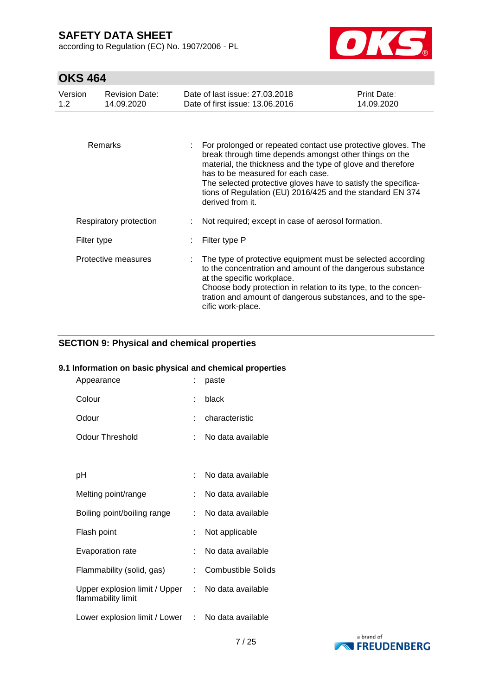according to Regulation (EC) No. 1907/2006 - PL



# **OKS 464**

| Version<br>1.2 | <b>Revision Date:</b><br>14.09.2020 | Date of last issue: 27.03.2018<br>Date of first issue: 13,06,2016                                                                                                                                                                                                                                                                                                            | Print Date:<br>14.09.2020 |
|----------------|-------------------------------------|------------------------------------------------------------------------------------------------------------------------------------------------------------------------------------------------------------------------------------------------------------------------------------------------------------------------------------------------------------------------------|---------------------------|
|                |                                     |                                                                                                                                                                                                                                                                                                                                                                              |                           |
|                | Remarks                             | For prolonged or repeated contact use protective gloves. The<br>break through time depends amongst other things on the<br>material, the thickness and the type of glove and therefore<br>has to be measured for each case.<br>The selected protective gloves have to satisfy the specifica-<br>tions of Regulation (EU) 2016/425 and the standard EN 374<br>derived from it. |                           |
|                | Respiratory protection              | Not required; except in case of aerosol formation.                                                                                                                                                                                                                                                                                                                           |                           |
| Filter type    |                                     | Filter type P                                                                                                                                                                                                                                                                                                                                                                |                           |
|                | Protective measures                 | The type of protective equipment must be selected according<br>to the concentration and amount of the dangerous substance<br>at the specific workplace.<br>Choose body protection in relation to its type, to the concen-<br>tration and amount of dangerous substances, and to the spe-<br>cific work-place.                                                                |                           |

### **SECTION 9: Physical and chemical properties**

### **9.1 Information on basic physical and chemical properties**

| Appearance                                            |    | paste                     |
|-------------------------------------------------------|----|---------------------------|
| Colour                                                | t  | black                     |
| Odour                                                 | ÷  | characteristic            |
| Odour Threshold                                       | t. | No data available         |
|                                                       |    |                           |
| рH                                                    |    | No data available         |
| Melting point/range                                   | t. | No data available         |
| Boiling point/boiling range                           | t. | No data available         |
| Flash point                                           |    | Not applicable            |
| Evaporation rate                                      | ÷  | No data available         |
| Flammability (solid, gas)                             | ÷. | <b>Combustible Solids</b> |
| Upper explosion limit / Upper :<br>flammability limit |    | No data available         |
| Lower explosion limit / Lower : No data available     |    |                           |

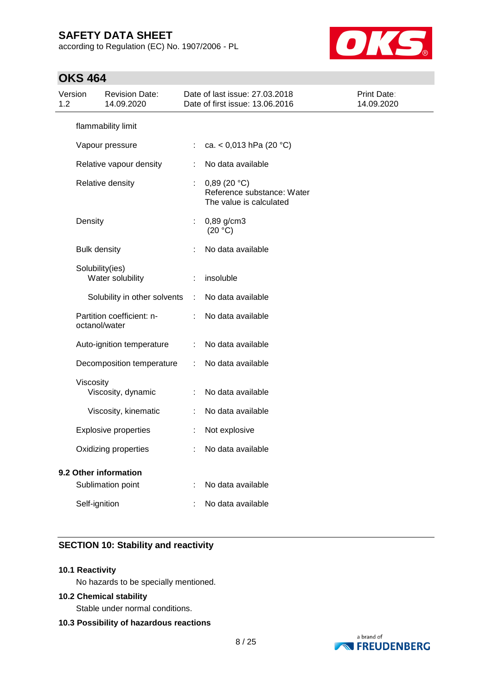according to Regulation (EC) No. 1907/2006 - PL



# **OKS 464**

| Version<br>1.2 |                                            | <b>Revision Date:</b><br>14.09.2020 |            | Date of last issue: 27.03.2018<br>Date of first issue: 13.06.2016    | Print Date:<br>14.09.2020 |
|----------------|--------------------------------------------|-------------------------------------|------------|----------------------------------------------------------------------|---------------------------|
|                |                                            | flammability limit                  |            |                                                                      |                           |
|                |                                            | Vapour pressure                     |            | ca. < $0,013$ hPa (20 °C)                                            |                           |
|                |                                            | Relative vapour density             |            | No data available                                                    |                           |
|                |                                            | Relative density                    | ÷          | 0,89(20 °C)<br>Reference substance: Water<br>The value is calculated |                           |
|                | Density                                    |                                     | ÷          | $0,89$ g/cm3<br>(20 °C)                                              |                           |
|                | <b>Bulk density</b>                        |                                     |            | No data available                                                    |                           |
|                | Solubility(ies)<br>Water solubility        |                                     |            | insoluble                                                            |                           |
|                |                                            | Solubility in other solvents        | $\sim 100$ | No data available                                                    |                           |
|                | Partition coefficient: n-<br>octanol/water |                                     |            | No data available                                                    |                           |
|                | Auto-ignition temperature                  |                                     | ÷.         | No data available                                                    |                           |
|                | Decomposition temperature                  |                                     | ÷          | No data available                                                    |                           |
|                | Viscosity                                  | Viscosity, dynamic                  |            | No data available                                                    |                           |
|                |                                            | Viscosity, kinematic                | ÷          | No data available                                                    |                           |
|                | <b>Explosive properties</b>                |                                     |            | Not explosive                                                        |                           |
|                | Oxidizing properties                       |                                     |            | No data available                                                    |                           |
|                |                                            | 9.2 Other information               |            |                                                                      |                           |
|                |                                            | Sublimation point                   |            | No data available                                                    |                           |
|                | Self-ignition                              |                                     |            | No data available                                                    |                           |

## **SECTION 10: Stability and reactivity**

#### **10.1 Reactivity**

No hazards to be specially mentioned.

#### **10.2 Chemical stability**

Stable under normal conditions.

#### **10.3 Possibility of hazardous reactions**

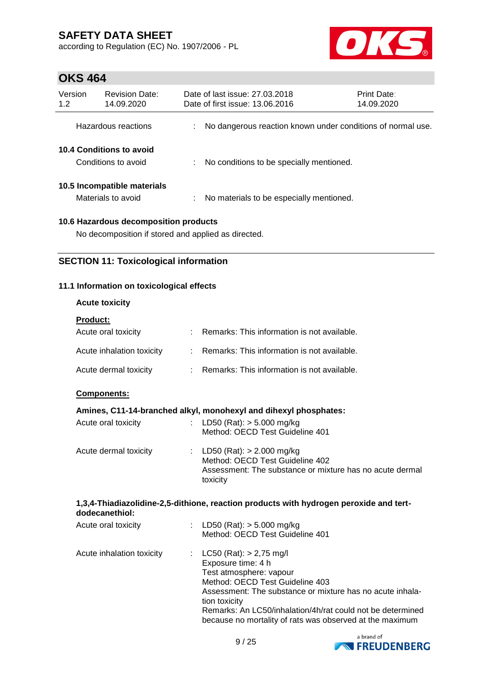according to Regulation (EC) No. 1907/2006 - PL



## **OKS 464**

| Version<br>1.2 | <b>Revision Date:</b><br>14.09.2020               |    | Date of last issue: 27,03,2018<br>Date of first issue: 13.06.2016 |                                          | Print Date:<br>14.09.2020                                   |
|----------------|---------------------------------------------------|----|-------------------------------------------------------------------|------------------------------------------|-------------------------------------------------------------|
|                | Hazardous reactions                               |    |                                                                   |                                          | No dangerous reaction known under conditions of normal use. |
|                | 10.4 Conditions to avoid<br>Conditions to avoid   |    |                                                                   | No conditions to be specially mentioned. |                                                             |
|                | 10.5 Incompatible materials<br>Materials to avoid | ÷. |                                                                   | No materials to be especially mentioned. |                                                             |
|                | 10.6 Hazardous decomposition products             |    |                                                                   |                                          |                                                             |

No decomposition if stored and applied as directed.

## **SECTION 11: Toxicological information**

## **11.1 Information on toxicological effects**

## **Acute toxicity**

| <b>Product:</b>           |                                               |
|---------------------------|-----------------------------------------------|
| Acute oral toxicity       | Remarks: This information is not available.   |
| Acute inhalation toxicity | : Remarks: This information is not available. |
| Acute dermal toxicity     | Remarks: This information is not available.   |

## **Components:**

### **Amines, C11-14-branched alkyl, monohexyl and dihexyl phosphates:**

| Acute oral toxicity   | : LD50 (Rat): $>$ 5.000 mg/kg<br>Method: OECD Test Guideline 401                                                                         |
|-----------------------|------------------------------------------------------------------------------------------------------------------------------------------|
| Acute dermal toxicity | : LD50 (Rat): $> 2.000$ mg/kg<br>Method: OECD Test Guideline 402<br>Assessment: The substance or mixture has no acute dermal<br>toxicity |

#### **1,3,4-Thiadiazolidine-2,5-dithione, reaction products with hydrogen peroxide and tertdodecanethiol:**

| Acute oral toxicity       | : LD50 (Rat): $>$ 5.000 mg/kg<br>Method: OECD Test Guideline 401                                                                                                                                                                                                                                                        |
|---------------------------|-------------------------------------------------------------------------------------------------------------------------------------------------------------------------------------------------------------------------------------------------------------------------------------------------------------------------|
| Acute inhalation toxicity | : $LC50 (Rat): > 2,75 mg/l$<br>Exposure time: 4 h<br>Test atmosphere: vapour<br>Method: OECD Test Guideline 403<br>Assessment: The substance or mixture has no acute inhala-<br>tion toxicity<br>Remarks: An LC50/inhalation/4h/rat could not be determined<br>because no mortality of rats was observed at the maximum |

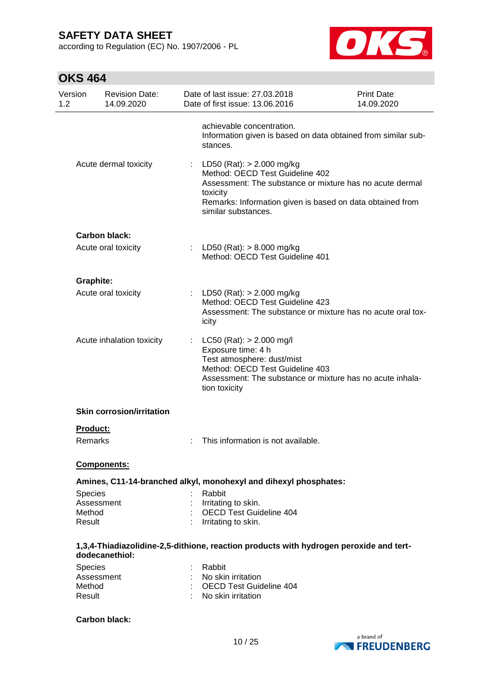according to Regulation (EC) No. 1907/2006 - PL



| Version<br>1.2   | <b>Revision Date:</b><br>14.09.2020 |   | Date of last issue: 27.03.2018<br>Date of first issue: 13.06.2016                                                                                                                                                        | Print Date:<br>14.09.2020 |
|------------------|-------------------------------------|---|--------------------------------------------------------------------------------------------------------------------------------------------------------------------------------------------------------------------------|---------------------------|
|                  |                                     |   | achievable concentration.<br>Information given is based on data obtained from similar sub-<br>stances.                                                                                                                   |                           |
|                  | Acute dermal toxicity               | ÷ | LD50 (Rat): > 2.000 mg/kg<br>Method: OECD Test Guideline 402<br>Assessment: The substance or mixture has no acute dermal<br>toxicity<br>Remarks: Information given is based on data obtained from<br>similar substances. |                           |
|                  | <b>Carbon black:</b>                |   |                                                                                                                                                                                                                          |                           |
|                  | Acute oral toxicity                 |   | : LD50 (Rat): $> 8.000$ mg/kg<br>Method: OECD Test Guideline 401                                                                                                                                                         |                           |
| <b>Graphite:</b> |                                     |   |                                                                                                                                                                                                                          |                           |
|                  | Acute oral toxicity                 |   | : LD50 (Rat): $> 2.000$ mg/kg<br>Method: OECD Test Guideline 423<br>Assessment: The substance or mixture has no acute oral tox-<br>icity                                                                                 |                           |
|                  | Acute inhalation toxicity           |   | LC50 (Rat): > 2.000 mg/l<br>Exposure time: 4 h<br>Test atmosphere: dust/mist<br>Method: OECD Test Guideline 403<br>Assessment: The substance or mixture has no acute inhala-<br>tion toxicity                            |                           |
|                  | <b>Skin corrosion/irritation</b>    |   |                                                                                                                                                                                                                          |                           |
| Product:         |                                     |   |                                                                                                                                                                                                                          |                           |
| Remarks          |                                     |   | This information is not available.                                                                                                                                                                                       |                           |
|                  | <b>Components:</b>                  |   |                                                                                                                                                                                                                          |                           |
|                  |                                     |   | Amines, C11-14-branched alkyl, monohexyl and dihexyl phosphates:                                                                                                                                                         |                           |
| <b>Species</b>   |                                     |   | Rabbit                                                                                                                                                                                                                   |                           |
| Method           | Assessment                          |   | Irritating to skin.<br><b>OECD Test Guideline 404</b>                                                                                                                                                                    |                           |
| Result           |                                     |   | Irritating to skin.                                                                                                                                                                                                      |                           |
|                  | dodecanethiol:                      |   | 1,3,4-Thiadiazolidine-2,5-dithione, reaction products with hydrogen peroxide and tert-                                                                                                                                   |                           |
| Species          |                                     |   | Rabbit                                                                                                                                                                                                                   |                           |
|                  | Assessment                          |   | No skin irritation                                                                                                                                                                                                       |                           |
| Method<br>Result |                                     |   | <b>OECD Test Guideline 404</b><br>No skin irritation                                                                                                                                                                     |                           |
|                  | <b>Carbon black:</b>                |   |                                                                                                                                                                                                                          |                           |

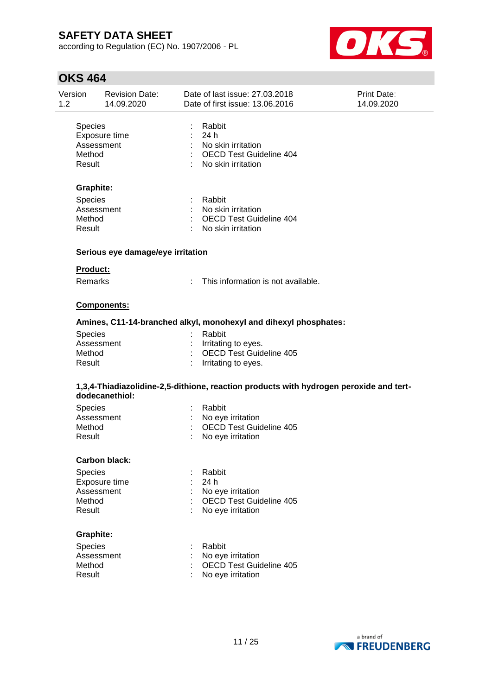according to Regulation (EC) No. 1907/2006 - PL



| Exposure time<br>Assessment<br>Graphite:<br>Assessment<br>Serious eye damage/eye irritation<br>Product: |                                                                                                                              | Rabbit<br>: 24h<br>: No skin irritation<br>: OECD Test Guideline 404<br>: No skin irritation<br>: Rabbit<br>: No skin irritation<br>: OECD Test Guideline 404<br>: No skin irritation |                                                                                                                                                                                                                                                                                                                                                                                                                                                                                              |
|---------------------------------------------------------------------------------------------------------|------------------------------------------------------------------------------------------------------------------------------|---------------------------------------------------------------------------------------------------------------------------------------------------------------------------------------|----------------------------------------------------------------------------------------------------------------------------------------------------------------------------------------------------------------------------------------------------------------------------------------------------------------------------------------------------------------------------------------------------------------------------------------------------------------------------------------------|
|                                                                                                         |                                                                                                                              |                                                                                                                                                                                       |                                                                                                                                                                                                                                                                                                                                                                                                                                                                                              |
|                                                                                                         |                                                                                                                              |                                                                                                                                                                                       |                                                                                                                                                                                                                                                                                                                                                                                                                                                                                              |
|                                                                                                         |                                                                                                                              |                                                                                                                                                                                       |                                                                                                                                                                                                                                                                                                                                                                                                                                                                                              |
|                                                                                                         |                                                                                                                              |                                                                                                                                                                                       |                                                                                                                                                                                                                                                                                                                                                                                                                                                                                              |
|                                                                                                         |                                                                                                                              |                                                                                                                                                                                       |                                                                                                                                                                                                                                                                                                                                                                                                                                                                                              |
|                                                                                                         |                                                                                                                              |                                                                                                                                                                                       |                                                                                                                                                                                                                                                                                                                                                                                                                                                                                              |
|                                                                                                         |                                                                                                                              |                                                                                                                                                                                       |                                                                                                                                                                                                                                                                                                                                                                                                                                                                                              |
| <b>Remarks</b>                                                                                          |                                                                                                                              | This information is not available.                                                                                                                                                    |                                                                                                                                                                                                                                                                                                                                                                                                                                                                                              |
| Components:                                                                                             |                                                                                                                              |                                                                                                                                                                                       |                                                                                                                                                                                                                                                                                                                                                                                                                                                                                              |
|                                                                                                         |                                                                                                                              |                                                                                                                                                                                       |                                                                                                                                                                                                                                                                                                                                                                                                                                                                                              |
|                                                                                                         |                                                                                                                              | Rabbit                                                                                                                                                                                |                                                                                                                                                                                                                                                                                                                                                                                                                                                                                              |
|                                                                                                         |                                                                                                                              |                                                                                                                                                                                       |                                                                                                                                                                                                                                                                                                                                                                                                                                                                                              |
|                                                                                                         |                                                                                                                              |                                                                                                                                                                                       |                                                                                                                                                                                                                                                                                                                                                                                                                                                                                              |
|                                                                                                         | ÷                                                                                                                            | No eye irritation                                                                                                                                                                     |                                                                                                                                                                                                                                                                                                                                                                                                                                                                                              |
|                                                                                                         |                                                                                                                              |                                                                                                                                                                                       |                                                                                                                                                                                                                                                                                                                                                                                                                                                                                              |
|                                                                                                         |                                                                                                                              | Rabbit                                                                                                                                                                                |                                                                                                                                                                                                                                                                                                                                                                                                                                                                                              |
|                                                                                                         |                                                                                                                              | 24 h                                                                                                                                                                                  |                                                                                                                                                                                                                                                                                                                                                                                                                                                                                              |
|                                                                                                         |                                                                                                                              |                                                                                                                                                                                       |                                                                                                                                                                                                                                                                                                                                                                                                                                                                                              |
|                                                                                                         |                                                                                                                              |                                                                                                                                                                                       |                                                                                                                                                                                                                                                                                                                                                                                                                                                                                              |
|                                                                                                         |                                                                                                                              |                                                                                                                                                                                       |                                                                                                                                                                                                                                                                                                                                                                                                                                                                                              |
|                                                                                                         |                                                                                                                              |                                                                                                                                                                                       |                                                                                                                                                                                                                                                                                                                                                                                                                                                                                              |
|                                                                                                         |                                                                                                                              | Rabbit                                                                                                                                                                                |                                                                                                                                                                                                                                                                                                                                                                                                                                                                                              |
|                                                                                                         |                                                                                                                              |                                                                                                                                                                                       |                                                                                                                                                                                                                                                                                                                                                                                                                                                                                              |
|                                                                                                         |                                                                                                                              |                                                                                                                                                                                       |                                                                                                                                                                                                                                                                                                                                                                                                                                                                                              |
|                                                                                                         | Assessment<br>dodecanethiol:<br>Assessment<br><b>Carbon black:</b><br>Exposure time<br>Assessment<br>Graphite:<br>Assessment |                                                                                                                                                                                       | Amines, C11-14-branched alkyl, monohexyl and dihexyl phosphates:<br>: Irritating to eyes.<br>$\mathbb{R}^{\mathbb{Z}^2}$<br><b>OECD Test Guideline 405</b><br>Irritating to eyes.<br>1,3,4-Thiadiazolidine-2,5-dithione, reaction products with hydrogen peroxide and tert-<br>: Rabbit<br>: No eye irritation<br>: OECD Test Guideline 405<br>No eye irritation<br>OECD Test Guideline 405<br>No eye irritation<br>No eye irritation<br><b>OECD Test Guideline 405</b><br>No eye irritation |

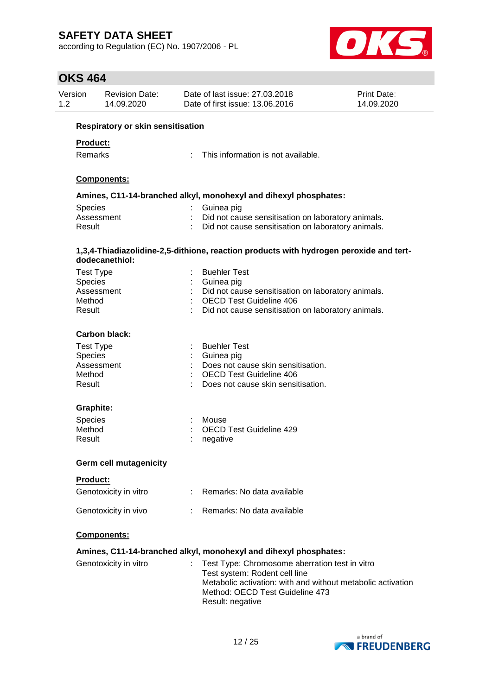according to Regulation (EC) No. 1907/2006 - PL



| Version<br>Date of last issue: 27.03.2018<br><b>Revision Date:</b><br>1.2<br>14.09.2020<br>Date of first issue: 13.06.2016 |                                          |  | Print Date:<br>14.09.2020                                                                                                                                                                             |  |
|----------------------------------------------------------------------------------------------------------------------------|------------------------------------------|--|-------------------------------------------------------------------------------------------------------------------------------------------------------------------------------------------------------|--|
|                                                                                                                            | <b>Respiratory or skin sensitisation</b> |  |                                                                                                                                                                                                       |  |
| <b>Product:</b>                                                                                                            |                                          |  |                                                                                                                                                                                                       |  |
| Remarks                                                                                                                    |                                          |  | This information is not available.                                                                                                                                                                    |  |
|                                                                                                                            |                                          |  |                                                                                                                                                                                                       |  |
|                                                                                                                            | Components:                              |  |                                                                                                                                                                                                       |  |
|                                                                                                                            |                                          |  | Amines, C11-14-branched alkyl, monohexyl and dihexyl phosphates:                                                                                                                                      |  |
| Species                                                                                                                    |                                          |  | Guinea pig                                                                                                                                                                                            |  |
|                                                                                                                            | Assessment                               |  | Did not cause sensitisation on laboratory animals.                                                                                                                                                    |  |
| Result                                                                                                                     |                                          |  | Did not cause sensitisation on laboratory animals.                                                                                                                                                    |  |
|                                                                                                                            | dodecanethiol:                           |  | 1,3,4-Thiadiazolidine-2,5-dithione, reaction products with hydrogen peroxide and tert-                                                                                                                |  |
| <b>Test Type</b>                                                                                                           |                                          |  | <b>Buehler Test</b>                                                                                                                                                                                   |  |
| Species                                                                                                                    |                                          |  | Guinea pig                                                                                                                                                                                            |  |
|                                                                                                                            | Assessment                               |  | Did not cause sensitisation on laboratory animals.                                                                                                                                                    |  |
| Method                                                                                                                     |                                          |  | <b>OECD Test Guideline 406</b>                                                                                                                                                                        |  |
| Result                                                                                                                     |                                          |  | Did not cause sensitisation on laboratory animals.                                                                                                                                                    |  |
|                                                                                                                            | <b>Carbon black:</b>                     |  |                                                                                                                                                                                                       |  |
| <b>Test Type</b>                                                                                                           |                                          |  | <b>Buehler Test</b>                                                                                                                                                                                   |  |
| Species                                                                                                                    |                                          |  | Guinea pig                                                                                                                                                                                            |  |
|                                                                                                                            | Assessment                               |  | Does not cause skin sensitisation.                                                                                                                                                                    |  |
| Method                                                                                                                     |                                          |  | <b>OECD Test Guideline 406</b>                                                                                                                                                                        |  |
| Result                                                                                                                     |                                          |  | Does not cause skin sensitisation.                                                                                                                                                                    |  |
| Graphite:                                                                                                                  |                                          |  |                                                                                                                                                                                                       |  |
| Species                                                                                                                    |                                          |  | Mouse                                                                                                                                                                                                 |  |
| Method                                                                                                                     |                                          |  | OECD Test Guideline 429                                                                                                                                                                               |  |
| Result                                                                                                                     |                                          |  | negative                                                                                                                                                                                              |  |
|                                                                                                                            | <b>Germ cell mutagenicity</b>            |  |                                                                                                                                                                                                       |  |
| <b>Product:</b>                                                                                                            |                                          |  |                                                                                                                                                                                                       |  |
|                                                                                                                            | Genotoxicity in vitro                    |  | : Remarks: No data available                                                                                                                                                                          |  |
|                                                                                                                            | Genotoxicity in vivo                     |  | : Remarks: No data available                                                                                                                                                                          |  |
|                                                                                                                            | Components:                              |  |                                                                                                                                                                                                       |  |
|                                                                                                                            |                                          |  | Amines, C11-14-branched alkyl, monohexyl and dihexyl phosphates:                                                                                                                                      |  |
|                                                                                                                            | Genotoxicity in vitro                    |  | Test Type: Chromosome aberration test in vitro<br>Test system: Rodent cell line<br>Metabolic activation: with and without metabolic activation<br>Method: OECD Test Guideline 473<br>Result: negative |  |

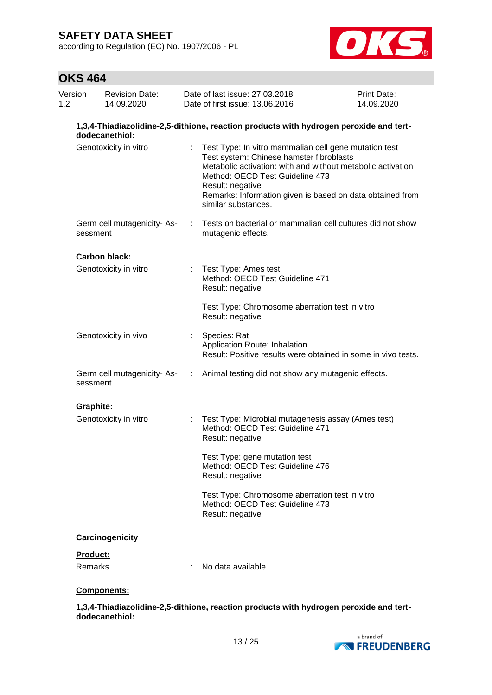according to Regulation (EC) No. 1907/2006 - PL



# **OKS 464**

| Version<br>1.2 | <b>Revision Date:</b><br>14.09.2020                                                                      |            | Date of last issue: 27.03.2018<br>Date of first issue: 13.06.2016                                                                                                                                                                                                                                           | Print Date:<br>14.09.2020 |
|----------------|----------------------------------------------------------------------------------------------------------|------------|-------------------------------------------------------------------------------------------------------------------------------------------------------------------------------------------------------------------------------------------------------------------------------------------------------------|---------------------------|
|                | 1,3,4-Thiadiazolidine-2,5-dithione, reaction products with hydrogen peroxide and tert-<br>dodecanethiol: |            |                                                                                                                                                                                                                                                                                                             |                           |
|                | Genotoxicity in vitro                                                                                    |            | Test Type: In vitro mammalian cell gene mutation test<br>Test system: Chinese hamster fibroblasts<br>Metabolic activation: with and without metabolic activation<br>Method: OECD Test Guideline 473<br>Result: negative<br>Remarks: Information given is based on data obtained from<br>similar substances. |                           |
|                | Germ cell mutagenicity-As-<br>sessment                                                                   |            | Tests on bacterial or mammalian cell cultures did not show<br>mutagenic effects.                                                                                                                                                                                                                            |                           |
|                | Carbon black:                                                                                            |            |                                                                                                                                                                                                                                                                                                             |                           |
|                | Genotoxicity in vitro                                                                                    |            | : Test Type: Ames test<br>Method: OECD Test Guideline 471<br>Result: negative                                                                                                                                                                                                                               |                           |
|                |                                                                                                          |            | Test Type: Chromosome aberration test in vitro<br>Result: negative                                                                                                                                                                                                                                          |                           |
|                | Genotoxicity in vivo                                                                                     |            | Species: Rat<br>Application Route: Inhalation<br>Result: Positive results were obtained in some in vivo tests.                                                                                                                                                                                              |                           |
|                | Germ cell mutagenicity-As-<br>sessment                                                                   | $\sim 100$ | Animal testing did not show any mutagenic effects.                                                                                                                                                                                                                                                          |                           |
|                | <b>Graphite:</b>                                                                                         |            |                                                                                                                                                                                                                                                                                                             |                           |
|                | Genotoxicity in vitro                                                                                    |            | Test Type: Microbial mutagenesis assay (Ames test)<br>Method: OECD Test Guideline 471<br>Result: negative                                                                                                                                                                                                   |                           |
|                |                                                                                                          |            | Test Type: gene mutation test<br>Method: OECD Test Guideline 476<br>Result: negative                                                                                                                                                                                                                        |                           |
|                |                                                                                                          |            | Test Type: Chromosome aberration test in vitro<br>Method: OECD Test Guideline 473<br>Result: negative                                                                                                                                                                                                       |                           |
|                | Carcinogenicity                                                                                          |            |                                                                                                                                                                                                                                                                                                             |                           |
|                | Product:                                                                                                 |            |                                                                                                                                                                                                                                                                                                             |                           |
|                | Remarks                                                                                                  |            | No data available                                                                                                                                                                                                                                                                                           |                           |

## **Components:**

**1,3,4-Thiadiazolidine-2,5-dithione, reaction products with hydrogen peroxide and tertdodecanethiol:**

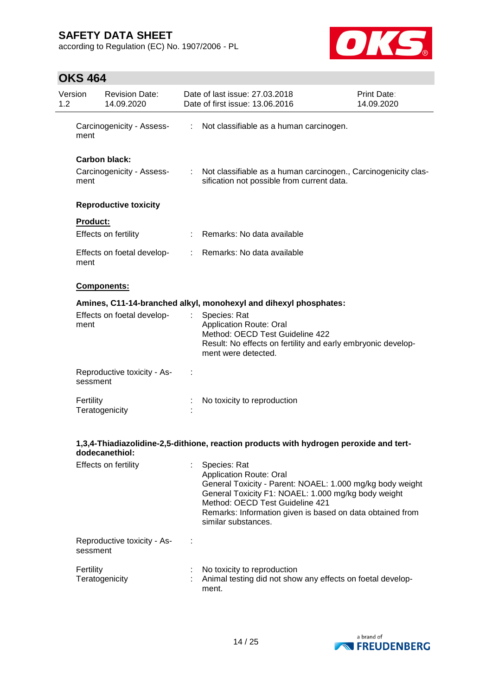according to Regulation (EC) No. 1907/2006 - PL



| $1.2^{\circ}$ | Version         | <b>Revision Date:</b><br>14.09.2020               |                           | Date of last issue: 27.03.2018<br>Date of first issue: 13.06.2016                                                                                                                                                                                                                         | <b>Print Date:</b><br>14.09.2020 |
|---------------|-----------------|---------------------------------------------------|---------------------------|-------------------------------------------------------------------------------------------------------------------------------------------------------------------------------------------------------------------------------------------------------------------------------------------|----------------------------------|
|               | ment            | Carcinogenicity - Assess-                         |                           | : Not classifiable as a human carcinogen.                                                                                                                                                                                                                                                 |                                  |
|               | ment            | <b>Carbon black:</b><br>Carcinogenicity - Assess- | $\mathbb{R}^{\mathbb{Z}}$ | Not classifiable as a human carcinogen., Carcinogenicity clas-<br>sification not possible from current data.                                                                                                                                                                              |                                  |
|               |                 | <b>Reproductive toxicity</b>                      |                           |                                                                                                                                                                                                                                                                                           |                                  |
|               | <b>Product:</b> | Effects on fertility                              |                           | Remarks: No data available                                                                                                                                                                                                                                                                |                                  |
|               | ment            | Effects on foetal develop-                        | t.                        | Remarks: No data available                                                                                                                                                                                                                                                                |                                  |
|               |                 | Components:                                       |                           |                                                                                                                                                                                                                                                                                           |                                  |
|               |                 |                                                   |                           | Amines, C11-14-branched alkyl, monohexyl and dihexyl phosphates:                                                                                                                                                                                                                          |                                  |
|               | ment            | Effects on foetal develop-                        | t                         | Species: Rat<br><b>Application Route: Oral</b><br>Method: OECD Test Guideline 422<br>Result: No effects on fertility and early embryonic develop-<br>ment were detected.                                                                                                                  |                                  |
|               | sessment        | Reproductive toxicity - As-                       |                           |                                                                                                                                                                                                                                                                                           |                                  |
|               | Fertility       | Teratogenicity                                    |                           | No toxicity to reproduction                                                                                                                                                                                                                                                               |                                  |
|               |                 | dodecanethiol:                                    |                           | 1,3,4-Thiadiazolidine-2,5-dithione, reaction products with hydrogen peroxide and tert-                                                                                                                                                                                                    |                                  |
|               |                 | Effects on fertility                              |                           | Species: Rat<br><b>Application Route: Oral</b><br>General Toxicity - Parent: NOAEL: 1.000 mg/kg body weight<br>General Toxicity F1: NOAEL: 1.000 mg/kg body weight<br>Method: OECD Test Guideline 421<br>Remarks: Information given is based on data obtained from<br>similar substances. |                                  |
|               | sessment        | Reproductive toxicity - As-                       |                           |                                                                                                                                                                                                                                                                                           |                                  |
|               | Fertility       | Teratogenicity                                    |                           | No toxicity to reproduction<br>Animal testing did not show any effects on foetal develop-<br>ment.                                                                                                                                                                                        |                                  |

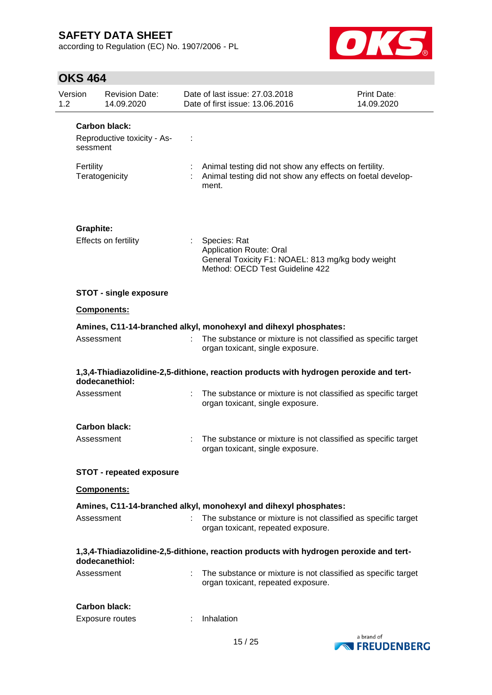according to Regulation (EC) No. 1907/2006 - PL



| Version<br>1.2 |            | <b>Revision Date:</b><br>14.09.2020                 | Date of last issue: 27.03.2018<br>Date of first issue: 13.06.2016                                                                      | Print Date:<br>14.09.2020 |
|----------------|------------|-----------------------------------------------------|----------------------------------------------------------------------------------------------------------------------------------------|---------------------------|
|                |            | <b>Carbon black:</b><br>Reproductive toxicity - As- |                                                                                                                                        |                           |
|                | sessment   |                                                     |                                                                                                                                        |                           |
|                | Fertility  | Teratogenicity                                      | Animal testing did not show any effects on fertility.<br>Animal testing did not show any effects on foetal develop-<br>ment.           |                           |
|                | Graphite:  |                                                     |                                                                                                                                        |                           |
|                |            | Effects on fertility                                | Species: Rat<br><b>Application Route: Oral</b><br>General Toxicity F1: NOAEL: 813 mg/kg body weight<br>Method: OECD Test Guideline 422 |                           |
|                |            | <b>STOT - single exposure</b>                       |                                                                                                                                        |                           |
|                |            | Components:                                         |                                                                                                                                        |                           |
|                |            |                                                     | Amines, C11-14-branched alkyl, monohexyl and dihexyl phosphates:                                                                       |                           |
|                | Assessment |                                                     | The substance or mixture is not classified as specific target<br>organ toxicant, single exposure.                                      |                           |
|                |            | dodecanethiol:                                      | 1,3,4-Thiadiazolidine-2,5-dithione, reaction products with hydrogen peroxide and tert-                                                 |                           |
|                | Assessment |                                                     | The substance or mixture is not classified as specific target<br>organ toxicant, single exposure.                                      |                           |
|                |            | Carbon black:                                       |                                                                                                                                        |                           |
|                | Assessment |                                                     | The substance or mixture is not classified as specific target<br>organ toxicant, single exposure.                                      |                           |
|                |            | <b>STOT - repeated exposure</b>                     |                                                                                                                                        |                           |
|                |            | <b>Components:</b>                                  |                                                                                                                                        |                           |
|                |            |                                                     | Amines, C11-14-branched alkyl, monohexyl and dihexyl phosphates:                                                                       |                           |
|                | Assessment |                                                     | The substance or mixture is not classified as specific target<br>organ toxicant, repeated exposure.                                    |                           |
|                |            | dodecanethiol:                                      | 1,3,4-Thiadiazolidine-2,5-dithione, reaction products with hydrogen peroxide and tert-                                                 |                           |
|                | Assessment |                                                     | The substance or mixture is not classified as specific target<br>organ toxicant, repeated exposure.                                    |                           |
|                |            | <b>Carbon black:</b>                                |                                                                                                                                        |                           |
|                |            | Exposure routes                                     | Inhalation                                                                                                                             |                           |

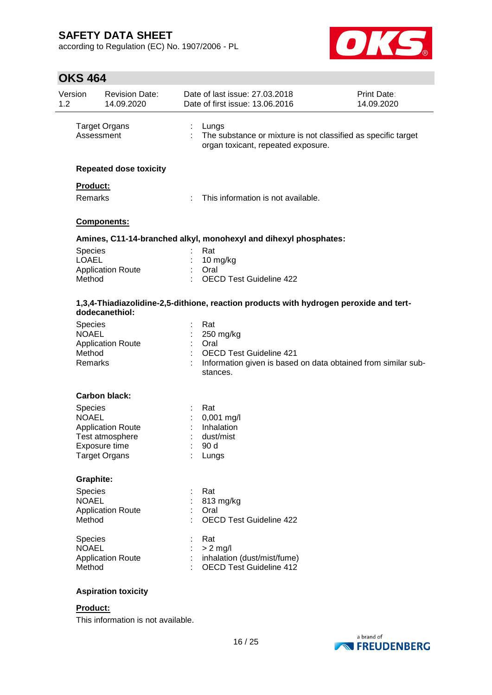according to Regulation (EC) No. 1907/2006 - PL



# **OKS 464**

| Version<br>1.2 |                                                      | <b>Revision Date:</b><br>14.09.2020   | Date of last issue: 27.03.2018<br>Date of first issue: 13.06.2016 |                                                                                                              | Print Date:<br>14.09.2020 |
|----------------|------------------------------------------------------|---------------------------------------|-------------------------------------------------------------------|--------------------------------------------------------------------------------------------------------------|---------------------------|
|                | Assessment                                           | <b>Target Organs</b>                  | ÷.                                                                | Lungs<br>The substance or mixture is not classified as specific target<br>organ toxicant, repeated exposure. |                           |
|                |                                                      | <b>Repeated dose toxicity</b>         |                                                                   |                                                                                                              |                           |
|                | Product:                                             |                                       |                                                                   |                                                                                                              |                           |
|                | Remarks<br>Components:                               |                                       |                                                                   | This information is not available.                                                                           |                           |
|                |                                                      |                                       |                                                                   |                                                                                                              |                           |
|                |                                                      |                                       |                                                                   | Amines, C11-14-branched alkyl, monohexyl and dihexyl phosphates:                                             |                           |
|                | Species                                              |                                       |                                                                   | Rat                                                                                                          |                           |
|                | <b>LOAEL</b>                                         |                                       |                                                                   | $10$ mg/kg                                                                                                   |                           |
|                | <b>Application Route</b><br>Method<br>dodecanethiol: |                                       |                                                                   | Oral<br><b>OECD Test Guideline 422</b>                                                                       |                           |
|                |                                                      |                                       |                                                                   | 1,3,4-Thiadiazolidine-2,5-dithione, reaction products with hydrogen peroxide and tert-                       |                           |
|                | <b>Species</b>                                       |                                       |                                                                   | Rat                                                                                                          |                           |
|                | <b>NOAEL</b>                                         |                                       |                                                                   | 250 mg/kg                                                                                                    |                           |
|                | <b>Application Route</b>                             |                                       | Oral                                                              |                                                                                                              |                           |
|                | Method<br>Remarks                                    |                                       |                                                                   | <b>OECD Test Guideline 421</b><br>Information given is based on data obtained from similar sub-<br>stances.  |                           |
|                |                                                      | <b>Carbon black:</b>                  |                                                                   |                                                                                                              |                           |
|                | <b>Species</b>                                       |                                       |                                                                   | Rat                                                                                                          |                           |
|                | <b>NOAEL</b>                                         |                                       |                                                                   | 0,001 mg/l                                                                                                   |                           |
|                |                                                      | <b>Application Route</b>              |                                                                   | Inhalation                                                                                                   |                           |
|                |                                                      | Test atmosphere                       |                                                                   | dust/mist                                                                                                    |                           |
|                |                                                      | Exposure time<br><b>Target Organs</b> |                                                                   | 90 d<br>Lungs                                                                                                |                           |
|                | <b>Graphite:</b>                                     |                                       |                                                                   |                                                                                                              |                           |
|                | Species                                              |                                       |                                                                   | Rat                                                                                                          |                           |
|                | <b>NOAEL</b>                                         |                                       |                                                                   | 813 mg/kg                                                                                                    |                           |
|                |                                                      | <b>Application Route</b>              |                                                                   | Oral                                                                                                         |                           |
|                | Method                                               |                                       |                                                                   | <b>OECD Test Guideline 422</b>                                                                               |                           |
|                | <b>Species</b>                                       |                                       |                                                                   | Rat                                                                                                          |                           |
|                | <b>NOAEL</b>                                         |                                       |                                                                   | $> 2$ mg/l                                                                                                   |                           |
|                | Method                                               | <b>Application Route</b>              |                                                                   | inhalation (dust/mist/fume)<br><b>OECD Test Guideline 412</b>                                                |                           |
|                |                                                      | <b>Aspiration toxicity</b>            |                                                                   |                                                                                                              |                           |
|                | Product:                                             |                                       |                                                                   |                                                                                                              |                           |

This information is not available.

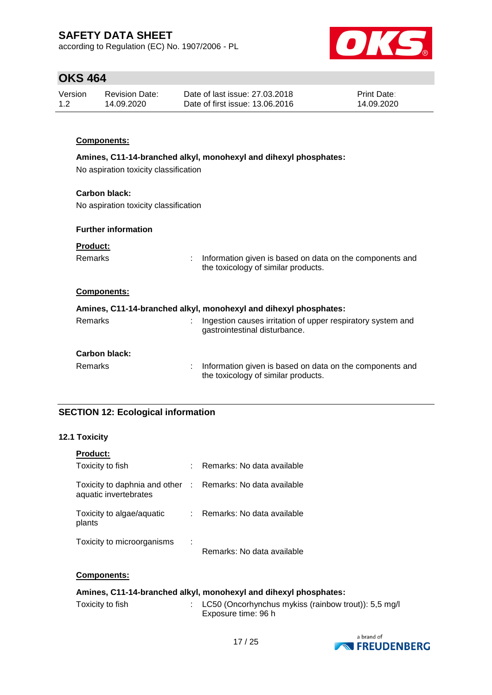according to Regulation (EC) No. 1907/2006 - PL



## **OKS 464**

| Version | Revision Date: | Date of last issue: 27,03,2018  | <b>Print Date:</b> |
|---------|----------------|---------------------------------|--------------------|
| 1.2     | 14.09.2020     | Date of first issue: 13.06.2016 | 14.09.2020         |

## **Components:**

### **Amines, C11-14-branched alkyl, monohexyl and dihexyl phosphates:**

No aspiration toxicity classification

### **Carbon black:**

No aspiration toxicity classification

### **Further information**

| <b>Product:</b> |  |
|-----------------|--|
| <b>Domorko</b>  |  |

Remarks : Information given is based on data on the components and the toxicology of similar products.

### **Components:**

| Amines, C11-14-branched alkyl, monohexyl and dihexyl phosphates: |                                                                                                 |  |  |  |  |
|------------------------------------------------------------------|-------------------------------------------------------------------------------------------------|--|--|--|--|
| Remarks                                                          | Ingestion causes irritation of upper respiratory system and<br>gastrointestinal disturbance.    |  |  |  |  |
| <b>Carbon black:</b>                                             |                                                                                                 |  |  |  |  |
| Remarks                                                          | Information given is based on data on the components and<br>the toxicology of similar products. |  |  |  |  |

## **SECTION 12: Ecological information**

### **12.1 Toxicity**

| <b>Product:</b>                                                                     |                            |
|-------------------------------------------------------------------------------------|----------------------------|
| Toxicity to fish                                                                    | Remarks: No data available |
| Toxicity to daphnia and other : Remarks: No data available<br>aquatic invertebrates |                            |
| Toxicity to algae/aquatic<br>plants                                                 | Remarks: No data available |
| Toxicity to microorganisms                                                          | Remarks: No data available |

### **Components:**

## **Amines, C11-14-branched alkyl, monohexyl and dihexyl phosphates:**

| Toxicity to fish | LC50 (Oncorhynchus mykiss (rainbow trout)): 5,5 mg/l |
|------------------|------------------------------------------------------|
|                  | Exposure time: 96 h                                  |

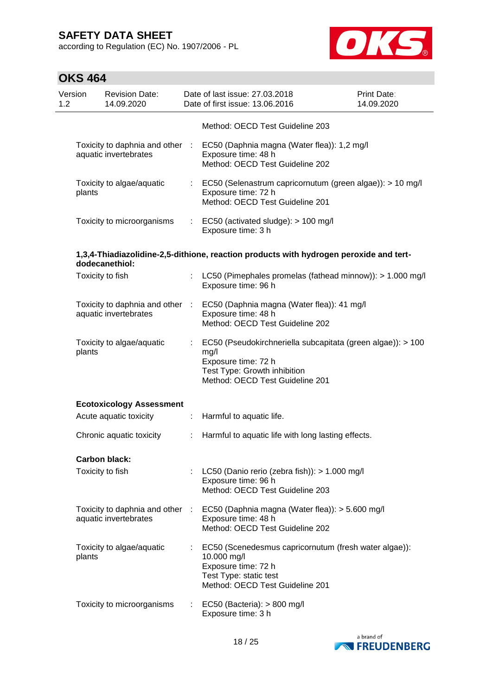according to Regulation (EC) No. 1907/2006 - PL



| Version<br>1.2 |        | <b>Revision Date:</b><br>14.09.2020                      |                              | Date of last issue: 27.03.2018<br>Date of first issue: 13.06.2016                                                                                             | <b>Print Date:</b><br>14.09.2020 |
|----------------|--------|----------------------------------------------------------|------------------------------|---------------------------------------------------------------------------------------------------------------------------------------------------------------|----------------------------------|
|                |        |                                                          |                              | Method: OECD Test Guideline 203                                                                                                                               |                                  |
|                |        | Toxicity to daphnia and other :<br>aquatic invertebrates |                              | EC50 (Daphnia magna (Water flea)): 1,2 mg/l<br>Exposure time: 48 h<br>Method: OECD Test Guideline 202                                                         |                                  |
|                | plants | Toxicity to algae/aquatic                                |                              | : EC50 (Selenastrum capricornutum (green algae)): > 10 mg/l<br>Exposure time: 72 h<br>Method: OECD Test Guideline 201                                         |                                  |
|                |        | Toxicity to microorganisms                               |                              | $\therefore$ EC50 (activated sludge): > 100 mg/l<br>Exposure time: 3 h                                                                                        |                                  |
|                |        | dodecanethiol:                                           |                              | 1,3,4-Thiadiazolidine-2,5-dithione, reaction products with hydrogen peroxide and tert-                                                                        |                                  |
|                |        | Toxicity to fish                                         |                              | LC50 (Pimephales promelas (fathead minnow)): > 1.000 mg/l<br>Exposure time: 96 h                                                                              |                                  |
|                |        | aquatic invertebrates                                    |                              | Toxicity to daphnia and other : EC50 (Daphnia magna (Water flea)): 41 mg/l<br>Exposure time: 48 h<br>Method: OECD Test Guideline 202                          |                                  |
|                | plants | Toxicity to algae/aquatic                                | $\mathcal{L}^{\mathcal{L}}$  | EC50 (Pseudokirchneriella subcapitata (green algae)): > 100<br>mg/l<br>Exposure time: 72 h<br>Test Type: Growth inhibition<br>Method: OECD Test Guideline 201 |                                  |
|                |        | <b>Ecotoxicology Assessment</b>                          |                              |                                                                                                                                                               |                                  |
|                |        | Acute aquatic toxicity                                   | ÷.                           | Harmful to aquatic life.                                                                                                                                      |                                  |
|                |        | Chronic aquatic toxicity                                 | ÷                            | Harmful to aquatic life with long lasting effects.                                                                                                            |                                  |
|                |        | Carbon black:                                            |                              |                                                                                                                                                               |                                  |
|                |        | Toxicity to fish                                         |                              | LC50 (Danio rerio (zebra fish)): > 1.000 mg/l<br>Exposure time: 96 h<br>Method: OECD Test Guideline 203                                                       |                                  |
|                |        | Toxicity to daphnia and other :<br>aquatic invertebrates |                              | EC50 (Daphnia magna (Water flea)): > 5.600 mg/l<br>Exposure time: 48 h<br>Method: OECD Test Guideline 202                                                     |                                  |
|                | plants | Toxicity to algae/aquatic                                |                              | EC50 (Scenedesmus capricornutum (fresh water algae)):<br>10.000 mg/l<br>Exposure time: 72 h<br>Test Type: static test<br>Method: OECD Test Guideline 201      |                                  |
|                |        | Toxicity to microorganisms                               | $\mathcal{L}_{\mathrm{eff}}$ | EC50 (Bacteria): $> 800$ mg/l<br>Exposure time: 3 h                                                                                                           |                                  |

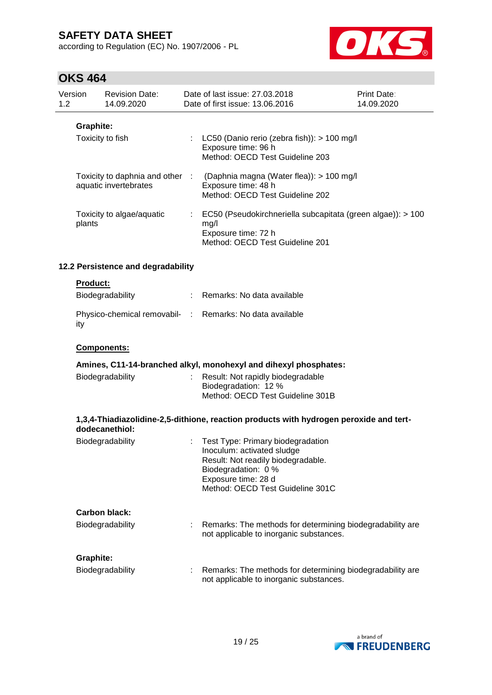according to Regulation (EC) No. 1907/2006 - PL



|                | UNJ 404                                                  |                                     |   |                                                                                                                                                                                         |                           |
|----------------|----------------------------------------------------------|-------------------------------------|---|-----------------------------------------------------------------------------------------------------------------------------------------------------------------------------------------|---------------------------|
| Version<br>1.2 |                                                          | <b>Revision Date:</b><br>14.09.2020 |   | Date of last issue: 27.03.2018<br>Date of first issue: 13.06.2016                                                                                                                       | Print Date:<br>14.09.2020 |
|                | <b>Graphite:</b>                                         | Toxicity to fish                    |   | LC50 (Danio rerio (zebra fish)): > 100 mg/l<br>Exposure time: 96 h<br>Method: OECD Test Guideline 203                                                                                   |                           |
|                | Toxicity to daphnia and other :<br>aquatic invertebrates |                                     |   | (Daphnia magna (Water flea)): > 100 mg/l<br>Exposure time: 48 h<br>Method: OECD Test Guideline 202                                                                                      |                           |
|                | Toxicity to algae/aquatic<br>plants                      |                                     |   | EC50 (Pseudokirchneriella subcapitata (green algae)): > 100<br>t.<br>mg/l<br>Exposure time: 72 h<br>Method: OECD Test Guideline 201                                                     |                           |
|                |                                                          | 12.2 Persistence and degradability  |   |                                                                                                                                                                                         |                           |
|                | <b>Product:</b>                                          | Biodegradability                    |   | Remarks: No data available                                                                                                                                                              |                           |
|                | ity                                                      |                                     |   | Physico-chemical removabil- : Remarks: No data available                                                                                                                                |                           |
|                | Components:                                              |                                     |   |                                                                                                                                                                                         |                           |
|                |                                                          |                                     |   | Amines, C11-14-branched alkyl, monohexyl and dihexyl phosphates:                                                                                                                        |                           |
|                |                                                          | Biodegradability                    |   | Result: Not rapidly biodegradable<br>Biodegradation: 12 %<br>Method: OECD Test Guideline 301B                                                                                           |                           |
|                | dodecanethiol:                                           |                                     |   | 1,3,4-Thiadiazolidine-2,5-dithione, reaction products with hydrogen peroxide and tert-                                                                                                  |                           |
|                |                                                          | Biodegradability                    |   | Test Type: Primary biodegradation<br>Inoculum: activated sludge<br>Result: Not readily biodegradable.<br>Biodegradation: 0 %<br>Exposure time: 28 d<br>Method: OECD Test Guideline 301C |                           |
|                |                                                          | Carbon black:                       |   |                                                                                                                                                                                         |                           |
|                |                                                          | Biodegradability                    |   | Remarks: The methods for determining biodegradability are<br>not applicable to inorganic substances.                                                                                    |                           |
|                | <b>Graphite:</b>                                         |                                     |   |                                                                                                                                                                                         |                           |
|                |                                                          | Biodegradability                    | t | Remarks: The methods for determining biodegradability are<br>not applicable to inorganic substances.                                                                                    |                           |

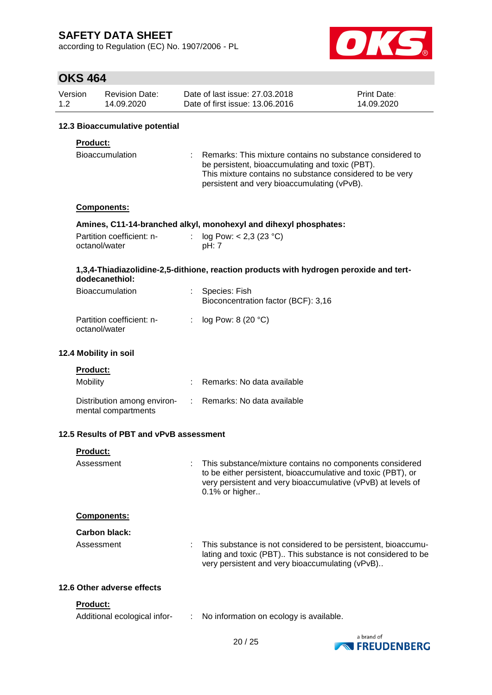according to Regulation (EC) No. 1907/2006 - PL



## **OKS 464**

| Version<br>1.2                                                                                                                                        | <b>Revision Date:</b><br>14.09.2020 | Date of last issue: 27,03,2018<br>Date of first issue: 13.06.2016 | <b>Print Date:</b><br>14.09.2020                                                                                                                                                                                        |  |  |  |  |  |
|-------------------------------------------------------------------------------------------------------------------------------------------------------|-------------------------------------|-------------------------------------------------------------------|-------------------------------------------------------------------------------------------------------------------------------------------------------------------------------------------------------------------------|--|--|--|--|--|
|                                                                                                                                                       | 12.3 Bioaccumulative potential      |                                                                   |                                                                                                                                                                                                                         |  |  |  |  |  |
|                                                                                                                                                       | <b>Product:</b>                     |                                                                   |                                                                                                                                                                                                                         |  |  |  |  |  |
| <b>Bioaccumulation</b>                                                                                                                                |                                     |                                                                   | Remarks: This mixture contains no substance considered to<br>be persistent, bioaccumulating and toxic (PBT).<br>This mixture contains no substance considered to be very<br>persistent and very bioaccumulating (vPvB). |  |  |  |  |  |
|                                                                                                                                                       | <b>Components:</b>                  |                                                                   |                                                                                                                                                                                                                         |  |  |  |  |  |
| Amines, C11-14-branched alkyl, monohexyl and dihexyl phosphates:<br>Partition coefficient: n-<br>: $log Pow: < 2,3 (23 °C)$<br>octanol/water<br>pH: 7 |                                     |                                                                   |                                                                                                                                                                                                                         |  |  |  |  |  |

### **1,3,4-Thiadiazolidine-2,5-dithione, reaction products with hydrogen peroxide and tertdodecanethiol:**

| <b>Bioaccumulation</b>                     | : Species: Fish<br>Bioconcentration factor (BCF): 3,16 |
|--------------------------------------------|--------------------------------------------------------|
| Partition coefficient: n-<br>octanol/water | : $log Pow: 8 (20 °C)$                                 |

### **12.4 Mobility in soil**

| <b>Product:</b>                                    |                              |
|----------------------------------------------------|------------------------------|
| Mobility                                           | Remarks: No data available   |
| Distribution among environ-<br>mental compartments | : Remarks: No data available |

## **12.5 Results of PBT and vPvB assessment**

| <b>Product:</b>            |                                                                                                                                                                                                               |
|----------------------------|---------------------------------------------------------------------------------------------------------------------------------------------------------------------------------------------------------------|
| Assessment                 | This substance/mixture contains no components considered<br>to be either persistent, bioaccumulative and toxic (PBT), or<br>very persistent and very bioaccumulative (vPvB) at levels of<br>$0.1\%$ or higher |
| <b>Components:</b>         |                                                                                                                                                                                                               |
| Carbon black:              |                                                                                                                                                                                                               |
| Assessment                 | This substance is not considered to be persistent, bioaccumu-<br>lating and toxic (PBT) This substance is not considered to be<br>very persistent and very bioaccumulating (vPvB)                             |
| 12.6 Other adverse effects |                                                                                                                                                                                                               |
| <b>Product:</b>            |                                                                                                                                                                                                               |

### Additional ecological infor- : No information on ecology is available.

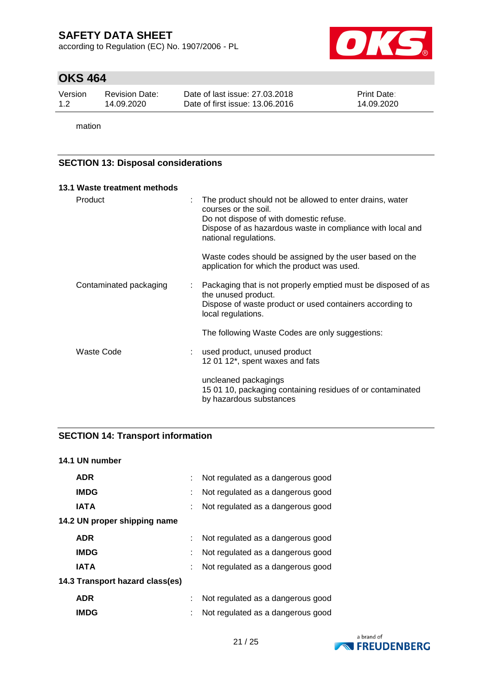according to Regulation (EC) No. 1907/2006 - PL



# **OKS 464**

| Version | Revision Date: | Date of last issue: 27,03,2018  | <b>Print Date:</b> |
|---------|----------------|---------------------------------|--------------------|
| 1.2     | 14.09.2020     | Date of first issue: 13.06.2016 | 14.09.2020         |

mation

## **SECTION 13: Disposal considerations**

| 13.1 Waste treatment methods |    |                                                                                                                                                                                                                    |
|------------------------------|----|--------------------------------------------------------------------------------------------------------------------------------------------------------------------------------------------------------------------|
| Product                      | ÷  | The product should not be allowed to enter drains, water<br>courses or the soil.<br>Do not dispose of with domestic refuse.<br>Dispose of as hazardous waste in compliance with local and<br>national regulations. |
|                              |    | Waste codes should be assigned by the user based on the<br>application for which the product was used.                                                                                                             |
| Contaminated packaging       | t. | Packaging that is not properly emptied must be disposed of as<br>the unused product.<br>Dispose of waste product or used containers according to<br>local regulations.                                             |
|                              |    | The following Waste Codes are only suggestions:                                                                                                                                                                    |
| Waste Code                   |    | used product, unused product<br>12 01 12*, spent waxes and fats                                                                                                                                                    |
|                              |    | uncleaned packagings<br>15 01 10, packaging containing residues of or contaminated<br>by hazardous substances                                                                                                      |

## **SECTION 14: Transport information**

| 14.1 UN number                  |                                   |
|---------------------------------|-----------------------------------|
| <b>ADR</b>                      | Not regulated as a dangerous good |
| <b>IMDG</b>                     | Not regulated as a dangerous good |
| <b>IATA</b>                     | Not regulated as a dangerous good |
| 14.2 UN proper shipping name    |                                   |
| <b>ADR</b>                      | Not regulated as a dangerous good |
| <b>IMDG</b>                     | Not regulated as a dangerous good |
| <b>IATA</b>                     | Not regulated as a dangerous good |
| 14.3 Transport hazard class(es) |                                   |
| <b>ADR</b>                      | Not regulated as a dangerous good |
| <b>IMDG</b>                     | Not regulated as a dangerous good |
|                                 |                                   |

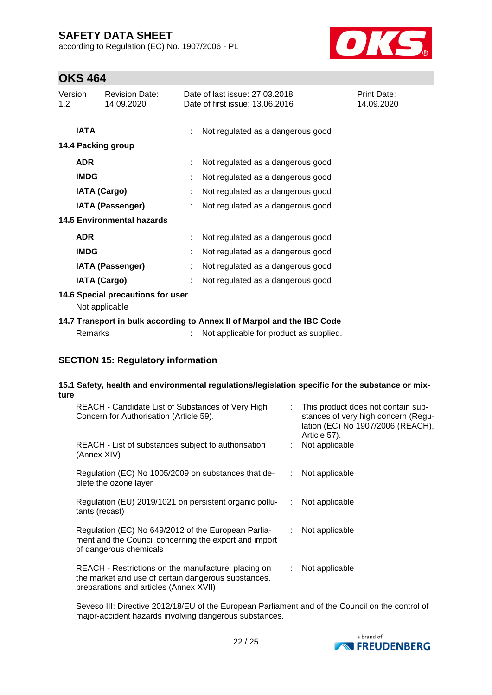according to Regulation (EC) No. 1907/2006 - PL



# **OKS 464**

| Version<br>1.2 <sub>2</sub>                         | <b>Revision Date:</b><br>14.09.2020                          |  | Date of last issue: 27,03,2018<br>Date of first issue: 13.06.2016                                                  | Print Date:<br>14.09.2020 |  |  |
|-----------------------------------------------------|--------------------------------------------------------------|--|--------------------------------------------------------------------------------------------------------------------|---------------------------|--|--|
| <b>IATA</b>                                         | 14.4 Packing group                                           |  | Not regulated as a dangerous good                                                                                  |                           |  |  |
| <b>ADR</b>                                          |                                                              |  | Not regulated as a dangerous good                                                                                  |                           |  |  |
| <b>IMDG</b>                                         | <b>IATA (Cargo)</b>                                          |  | Not regulated as a dangerous good<br>Not regulated as a dangerous good                                             |                           |  |  |
|                                                     | <b>IATA (Passenger)</b><br><b>14.5 Environmental hazards</b> |  | Not regulated as a dangerous good                                                                                  |                           |  |  |
| <b>ADR</b>                                          |                                                              |  | Not regulated as a dangerous good                                                                                  |                           |  |  |
| <b>IMDG</b>                                         | <b>IATA (Passenger)</b>                                      |  | Not regulated as a dangerous good<br>Not regulated as a dangerous good                                             |                           |  |  |
|                                                     | <b>IATA (Cargo)</b>                                          |  | Not regulated as a dangerous good                                                                                  |                           |  |  |
| 14.6 Special precautions for user<br>Not applicable |                                                              |  |                                                                                                                    |                           |  |  |
| <b>Remarks</b>                                      |                                                              |  | 14.7 Transport in bulk according to Annex II of Marpol and the IBC Code<br>Not applicable for product as supplied. |                           |  |  |

## **SECTION 15: Regulatory information**

#### **15.1 Safety, health and environmental regulations/legislation specific for the substance or mixture**

| REACH - Candidate List of Substances of Very High<br>Concern for Authorisation (Article 59).                                                         | t. | This product does not contain sub-<br>stances of very high concern (Regu-<br>lation (EC) No 1907/2006 (REACH),<br>Article 57). |
|------------------------------------------------------------------------------------------------------------------------------------------------------|----|--------------------------------------------------------------------------------------------------------------------------------|
| REACH - List of substances subject to authorisation<br>(Annex XIV)                                                                                   |    | Not applicable                                                                                                                 |
| Regulation (EC) No 1005/2009 on substances that de-<br>plete the ozone layer                                                                         | ÷. | Not applicable                                                                                                                 |
| Regulation (EU) 2019/1021 on persistent organic pollu-<br>tants (recast)                                                                             | ÷. | Not applicable                                                                                                                 |
| Regulation (EC) No 649/2012 of the European Parlia-<br>ment and the Council concerning the export and import<br>of dangerous chemicals               | ÷. | Not applicable                                                                                                                 |
| REACH - Restrictions on the manufacture, placing on<br>the market and use of certain dangerous substances,<br>preparations and articles (Annex XVII) | ÷. | Not applicable                                                                                                                 |

Seveso III: Directive 2012/18/EU of the European Parliament and of the Council on the control of major-accident hazards involving dangerous substances.

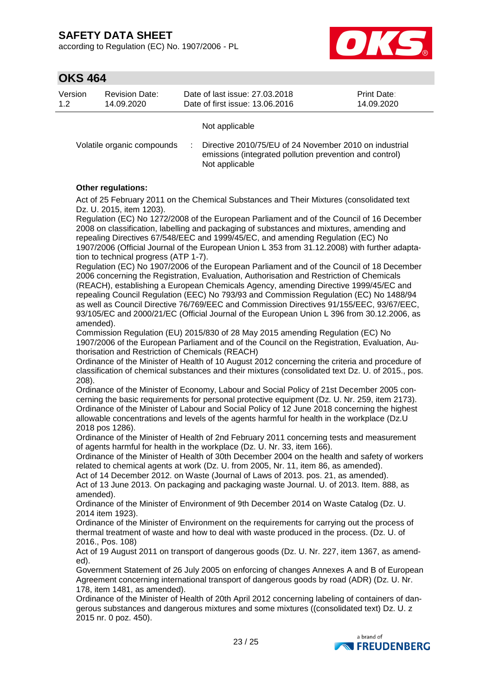according to Regulation (EC) No. 1907/2006 - PL



## **OKS 464**

| Version | <b>Revision Date:</b> | Date of last issue: 27.03.2018  | <b>Print Date:</b> |
|---------|-----------------------|---------------------------------|--------------------|
| 12      | 14.09.2020            | Date of first issue: 13.06.2016 | 14.09.2020         |
|         |                       | Not applicable                  |                    |

Volatile organic compounds : Directive 2010/75/EU of 24 November 2010 on industrial emissions (integrated pollution prevention and control) Not applicable

### **Other regulations:**

Act of 25 February 2011 on the Chemical Substances and Their Mixtures (consolidated text Dz. U. 2015, item 1203).

Regulation (EC) No 1272/2008 of the European Parliament and of the Council of 16 December 2008 on classification, labelling and packaging of substances and mixtures, amending and repealing Directives 67/548/EEC and 1999/45/EC, and amending Regulation (EC) No 1907/2006 (Official Journal of the European Union L 353 from 31.12.2008) with further adaptation to technical progress (ATP 1-7).

Regulation (EC) No 1907/2006 of the European Parliament and of the Council of 18 December 2006 concerning the Registration, Evaluation, Authorisation and Restriction of Chemicals (REACH), establishing a European Chemicals Agency, amending Directive 1999/45/EC and repealing Council Regulation (EEC) No 793/93 and Commission Regulation (EC) No 1488/94 as well as Council Directive 76/769/EEC and Commission Directives 91/155/EEC, 93/67/EEC, 93/105/EC and 2000/21/EC (Official Journal of the European Union L 396 from 30.12.2006, as amended).

Commission Regulation (EU) 2015/830 of 28 May 2015 amending Regulation (EC) No 1907/2006 of the European Parliament and of the Council on the Registration, Evaluation, Authorisation and Restriction of Chemicals (REACH)

Ordinance of the Minister of Health of 10 August 2012 concerning the criteria and procedure of classification of chemical substances and their mixtures (consolidated text Dz. U. of 2015., pos. 208).

Ordinance of the Minister of Economy, Labour and Social Policy of 21st December 2005 concerning the basic requirements for personal protective equipment (Dz. U. Nr. 259, item 2173). Ordinance of the Minister of Labour and Social Policy of 12 June 2018 concerning the highest allowable concentrations and levels of the agents harmful for health in the workplace (Dz.U 2018 pos 1286).

Ordinance of the Minister of Health of 2nd February 2011 concerning tests and measurement of agents harmful for health in the workplace (Dz. U. Nr. 33, item 166).

Ordinance of the Minister of Health of 30th December 2004 on the health and safety of workers related to chemical agents at work (Dz. U. from 2005, Nr. 11, item 86, as amended).

Act of 14 December 2012. on Waste (Journal of Laws of 2013. pos. 21, as amended). Act of 13 June 2013. On packaging and packaging waste Journal. U. of 2013. Item. 888, as amended).

Ordinance of the Minister of Environment of 9th December 2014 on Waste Catalog (Dz. U. 2014 item 1923).

Ordinance of the Minister of Environment on the requirements for carrying out the process of thermal treatment of waste and how to deal with waste produced in the process. (Dz. U. of 2016., Pos. 108)

Act of 19 August 2011 on transport of dangerous goods (Dz. U. Nr. 227, item 1367, as amended).

Government Statement of 26 July 2005 on enforcing of changes Annexes A and B of European Agreement concerning international transport of dangerous goods by road (ADR) (Dz. U. Nr. 178, item 1481, as amended).

Ordinance of the Minister of Health of 20th April 2012 concerning labeling of containers of dangerous substances and dangerous mixtures and some mixtures ((consolidated text) Dz. U. z 2015 nr. 0 poz. 450).

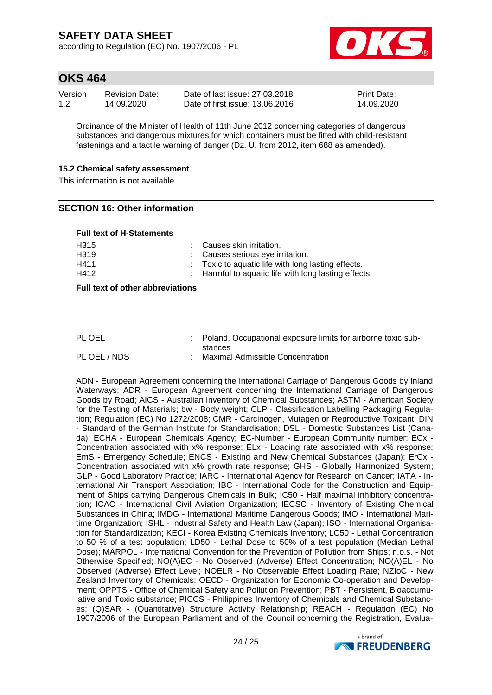according to Regulation (EC) No. 1907/2006 - PL



## **OKS 464**

| Version | <b>Revision Date:</b> | Date of last issue: 27,03,2018  | <b>Print Date:</b> |
|---------|-----------------------|---------------------------------|--------------------|
| 1.2     | 14.09.2020            | Date of first issue: 13.06.2016 | 14.09.2020         |

Ordinance of the Minister of Health of 11th June 2012 concerning categories of dangerous substances and dangerous mixtures for which containers must be fitted with child-resistant fastenings and a tactile warning of danger (Dz. U. from 2012, item 688 as amended).

#### **15.2 Chemical safety assessment**

This information is not available.

### **SECTION 16: Other information**

#### **Full text of H-Statements**

| H <sub>315</sub>  | : Causes skin irritation.                                     |
|-------------------|---------------------------------------------------------------|
| H <sub>3</sub> 19 | : Causes serious eye irritation.                              |
| H411              | $\therefore$ Toxic to aquatic life with long lasting effects. |
| H412              | : Harmful to aquatic life with long lasting effects.          |

**Full text of other abbreviations**

| PL OEL       | : Poland. Occupational exposure limits for airborne toxic sub- |
|--------------|----------------------------------------------------------------|
|              | stances                                                        |
| PL OEL / NDS | Maximal Admissible Concentration                               |

ADN - European Agreement concerning the International Carriage of Dangerous Goods by Inland Waterways; ADR - European Agreement concerning the International Carriage of Dangerous Goods by Road; AICS - Australian Inventory of Chemical Substances; ASTM - American Society for the Testing of Materials; bw - Body weight; CLP - Classification Labelling Packaging Regulation; Regulation (EC) No 1272/2008; CMR - Carcinogen, Mutagen or Reproductive Toxicant; DIN - Standard of the German Institute for Standardisation; DSL - Domestic Substances List (Canada); ECHA - European Chemicals Agency; EC-Number - European Community number; ECx - Concentration associated with x% response; ELx - Loading rate associated with x% response; EmS - Emergency Schedule; ENCS - Existing and New Chemical Substances (Japan); ErCx - Concentration associated with x% growth rate response; GHS - Globally Harmonized System; GLP - Good Laboratory Practice; IARC - International Agency for Research on Cancer; IATA - International Air Transport Association; IBC - International Code for the Construction and Equipment of Ships carrying Dangerous Chemicals in Bulk; IC50 - Half maximal inhibitory concentration; ICAO - International Civil Aviation Organization; IECSC - Inventory of Existing Chemical Substances in China; IMDG - International Maritime Dangerous Goods; IMO - International Maritime Organization; ISHL - Industrial Safety and Health Law (Japan); ISO - International Organisation for Standardization; KECI - Korea Existing Chemicals Inventory; LC50 - Lethal Concentration to 50 % of a test population; LD50 - Lethal Dose to 50% of a test population (Median Lethal Dose); MARPOL - International Convention for the Prevention of Pollution from Ships; n.o.s. - Not Otherwise Specified; NO(A)EC - No Observed (Adverse) Effect Concentration; NO(A)EL - No Observed (Adverse) Effect Level; NOELR - No Observable Effect Loading Rate; NZIoC - New Zealand Inventory of Chemicals; OECD - Organization for Economic Co-operation and Development; OPPTS - Office of Chemical Safety and Pollution Prevention; PBT - Persistent, Bioaccumulative and Toxic substance; PICCS - Philippines Inventory of Chemicals and Chemical Substances; (Q)SAR - (Quantitative) Structure Activity Relationship; REACH - Regulation (EC) No 1907/2006 of the European Parliament and of the Council concerning the Registration, Evalua-